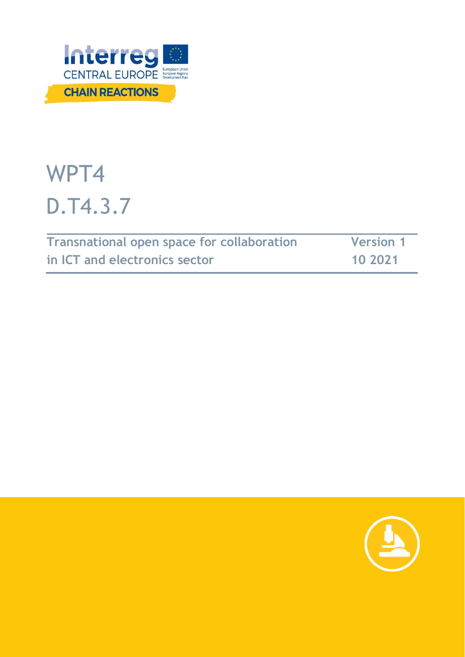

# WPT4 D.T4.3.7

| Transnational open space for collaboration | <b>Version 1</b> |
|--------------------------------------------|------------------|
| in ICT and electronics sector              | 10 2021          |

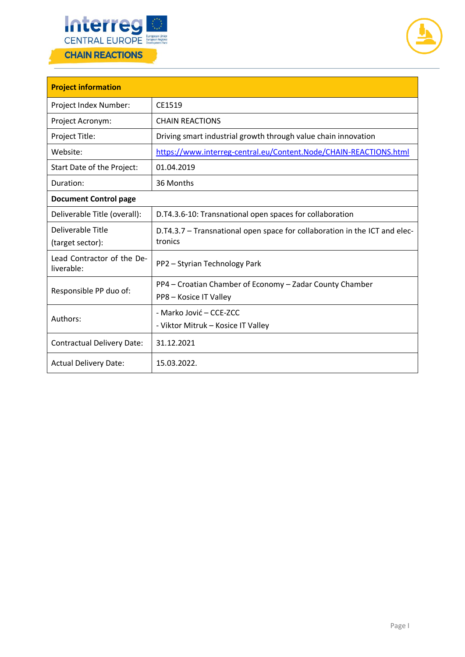



| <b>Project information</b>               |                                                                                       |  |  |
|------------------------------------------|---------------------------------------------------------------------------------------|--|--|
| Project Index Number:                    | CE1519                                                                                |  |  |
| Project Acronym:                         | <b>CHAIN REACTIONS</b>                                                                |  |  |
| Project Title:                           | Driving smart industrial growth through value chain innovation                        |  |  |
| Website:                                 | https://www.interreg-central.eu/Content.Node/CHAIN-REACTIONS.html                     |  |  |
| Start Date of the Project:               | 01.04.2019                                                                            |  |  |
| Duration:                                | 36 Months                                                                             |  |  |
| <b>Document Control page</b>             |                                                                                       |  |  |
| Deliverable Title (overall):             | D.T4.3.6-10: Transnational open spaces for collaboration                              |  |  |
| Deliverable Title<br>(target sector):    | D.T4.3.7 – Transnational open space for collaboration in the ICT and elec-<br>tronics |  |  |
| Lead Contractor of the De-<br>liverable: | PP2 - Styrian Technology Park                                                         |  |  |
| Responsible PP duo of:                   | PP4 – Croatian Chamber of Economy – Zadar County Chamber<br>PP8 - Kosice IT Valley    |  |  |
| Authors:                                 | - Marko Jović – CCE-ZCC<br>- Viktor Mitruk - Kosice IT Valley                         |  |  |
| <b>Contractual Delivery Date:</b>        | 31.12.2021                                                                            |  |  |
| <b>Actual Delivery Date:</b>             | 15.03.2022.                                                                           |  |  |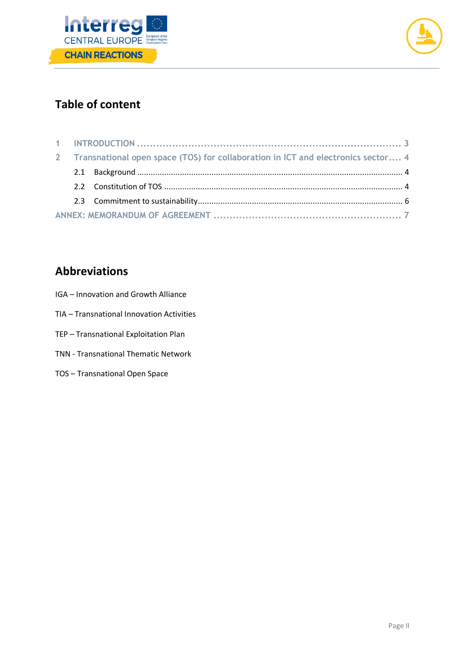



# **Table of content**

| 2 Transnational open space (TOS) for collaboration in ICT and electronics sector 4 |  |  |  |
|------------------------------------------------------------------------------------|--|--|--|
|                                                                                    |  |  |  |
|                                                                                    |  |  |  |
|                                                                                    |  |  |  |
|                                                                                    |  |  |  |

# **Abbreviations**

- IGA Innovation and Growth Alliance
- TIA Transnational Innovation Activities
- TEP Transnational Exploitation Plan
- TNN Transnational Thematic Network
- TOS Transnational Open Space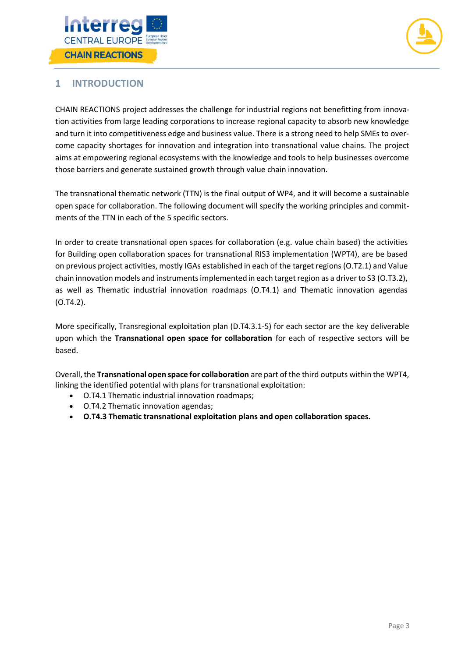



## <span id="page-3-0"></span>**1 INTRODUCTION**

CHAIN REACTIONS project addresses the challenge for industrial regions not benefitting from innovation activities from large leading corporations to increase regional capacity to absorb new knowledge and turn it into competitiveness edge and business value. There is a strong need to help SMEs to overcome capacity shortages for innovation and integration into transnational value chains. The project aims at empowering regional ecosystems with the knowledge and tools to help businesses overcome those barriers and generate sustained growth through value chain innovation.

The transnational thematic network (TTN) is the final output of WP4, and it will become a sustainable open space for collaboration. The following document will specify the working principles and commitments of the TTN in each of the 5 specific sectors.

In order to create transnational open spaces for collaboration (e.g. value chain based) the activities for Building open collaboration spaces for transnational RIS3 implementation (WPT4), are be based on previous project activities, mostly IGAs established in each of the target regions (O.T2.1) and Value chain innovation models and instruments implemented in each target region as a driver to S3 (O.T3.2), as well as Thematic industrial innovation roadmaps (O.T4.1) and Thematic innovation agendas (O.T4.2).

More specifically, Transregional exploitation plan (D.T4.3.1-5) for each sector are the key deliverable upon which the **Transnational open space for collaboration** for each of respective sectors will be based.

Overall, the **Transnational open space for collaboration** are part of the third outputs within the WPT4, linking the identified potential with plans for transnational exploitation:

- O.T4.1 Thematic industrial innovation roadmaps;
- O.T4.2 Thematic innovation agendas;
- **O.T4.3 Thematic transnational exploitation plans and open collaboration spaces.**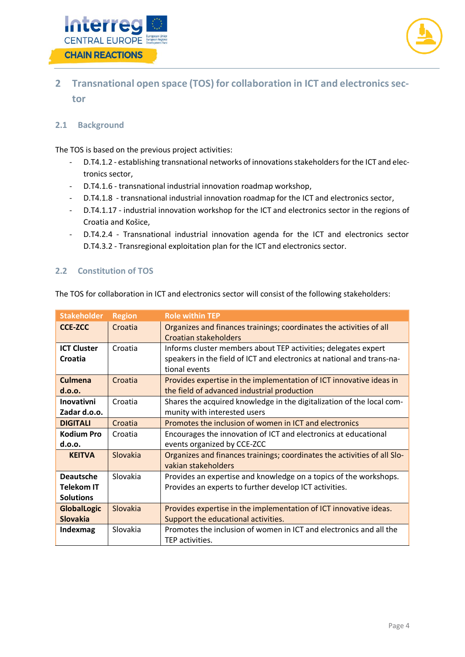



# <span id="page-4-0"></span>**2 Transnational open space (TOS) for collaboration in ICT and electronics sector**

#### <span id="page-4-1"></span>**2.1 Background**

The TOS is based on the previous project activities:

- D.T4.1.2 establishing transnational networks of innovations stakeholders for the ICT and electronics sector,
- D.T4.1.6 transnational industrial innovation roadmap workshop,
- D.T4.1.8 transnational industrial innovation roadmap for the ICT and electronics sector,
- D.T4.1.17 industrial innovation workshop for the ICT and electronics sector in the regions of Croatia and Košice,
- D.T4.2.4 Transnational industrial innovation agenda for the ICT and electronics sector D.T4.3.2 - Transregional exploitation plan for the ICT and electronics sector.

### <span id="page-4-2"></span>**2.2 Constitution of TOS**

The TOS for collaboration in ICT and electronics sector will consist of the following stakeholders:

| <b>Stakeholder</b>                                        | <b>Region</b> | <b>Role within TEP</b>                                                                                                                                    |
|-----------------------------------------------------------|---------------|-----------------------------------------------------------------------------------------------------------------------------------------------------------|
| <b>CCE-ZCC</b>                                            | Croatia       | Organizes and finances trainings; coordinates the activities of all<br>Croatian stakeholders                                                              |
| <b>ICT Cluster</b><br>Croatia                             | Croatia       | Informs cluster members about TEP activities; delegates expert<br>speakers in the field of ICT and electronics at national and trans-na-<br>tional events |
| <b>Culmena</b><br>d.o.o.                                  | Croatia       | Provides expertise in the implementation of ICT innovative ideas in<br>the field of advanced industrial production                                        |
| <b>Inovativni</b><br>Zadar d.o.o.                         | Croatia       | Shares the acquired knowledge in the digitalization of the local com-<br>munity with interested users                                                     |
| <b>DIGITALI</b>                                           | Croatia       | Promotes the inclusion of women in ICT and electronics                                                                                                    |
| <b>Kodium Pro</b>                                         | Croatia       | Encourages the innovation of ICT and electronics at educational                                                                                           |
| d.o.o.                                                    |               | events organized by CCE-ZCC                                                                                                                               |
| <b>KFITVA</b>                                             | Slovakia      | Organizes and finances trainings; coordinates the activities of all Slo-<br>vakian stakeholders                                                           |
| <b>Deautsche</b><br><b>Telekom IT</b><br><b>Solutions</b> | Slovakia      | Provides an expertise and knowledge on a topics of the workshops.<br>Provides an experts to further develop ICT activities.                               |
| <b>GlobalLogic</b><br><b>Slovakia</b>                     | Slovakia      | Provides expertise in the implementation of ICT innovative ideas.<br>Support the educational activities.                                                  |
| Indexmag                                                  | Slovakia      | Promotes the inclusion of women in ICT and electronics and all the<br>TEP activities.                                                                     |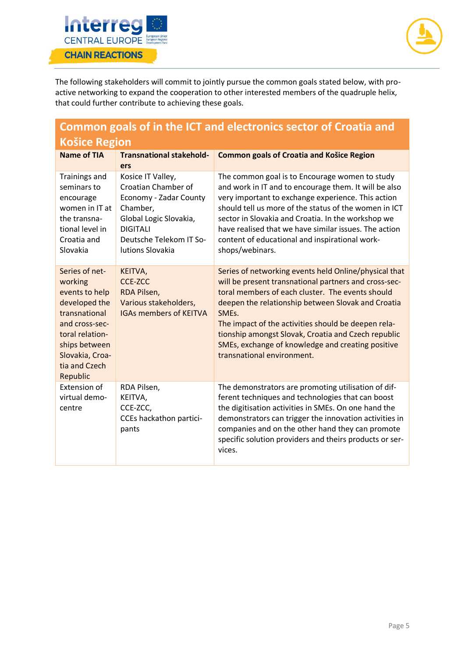



The following stakeholders will commit to jointly pursue the common goals stated below, with proactive networking to expand the cooperation to other interested members of the quadruple helix, that could further contribute to achieving these goals.

| Common goals of in the ICT and electronics sector of Croatia and                                                                                                                    |                                                                                                                                                                            |                                                                                                                                                                                                                                                                                                                                                                                                                                    |  |
|-------------------------------------------------------------------------------------------------------------------------------------------------------------------------------------|----------------------------------------------------------------------------------------------------------------------------------------------------------------------------|------------------------------------------------------------------------------------------------------------------------------------------------------------------------------------------------------------------------------------------------------------------------------------------------------------------------------------------------------------------------------------------------------------------------------------|--|
| <b>Košice Region</b>                                                                                                                                                                |                                                                                                                                                                            |                                                                                                                                                                                                                                                                                                                                                                                                                                    |  |
| <b>Name of TIA</b>                                                                                                                                                                  | <b>Transnational stakehold-</b><br>ers                                                                                                                                     | <b>Common goals of Croatia and Košice Region</b>                                                                                                                                                                                                                                                                                                                                                                                   |  |
| <b>Trainings and</b><br>seminars to<br>encourage<br>women in IT at<br>the transna-<br>tional level in<br>Croatia and<br>Slovakia                                                    | Kosice IT Valley,<br>Croatian Chamber of<br>Economy - Zadar County<br>Chamber,<br>Global Logic Slovakia,<br><b>DIGITALI</b><br>Deutsche Telekom IT So-<br>lutions Slovakia | The common goal is to Encourage women to study<br>and work in IT and to encourage them. It will be also<br>very important to exchange experience. This action<br>should tell us more of the status of the women in ICT<br>sector in Slovakia and Croatia. In the workshop we<br>have realised that we have similar issues. The action<br>content of educational and inspirational work-<br>shops/webinars.                         |  |
| Series of net-<br>working<br>events to help<br>developed the<br>transnational<br>and cross-sec-<br>toral relation-<br>ships between<br>Slovakia, Croa-<br>tia and Czech<br>Republic | KEITVA,<br><b>CCE-ZCC</b><br>RDA Pilsen,<br>Various stakeholders,<br><b>IGAs members of KEITVA</b>                                                                         | Series of networking events held Online/physical that<br>will be present transnational partners and cross-sec-<br>toral members of each cluster. The events should<br>deepen the relationship between Slovak and Croatia<br>SMEs.<br>The impact of the activities should be deepen rela-<br>tionship amongst Slovak, Croatia and Czech republic<br>SMEs, exchange of knowledge and creating positive<br>transnational environment. |  |
| Extension of<br>virtual demo-<br>centre                                                                                                                                             | RDA Pilsen,<br>KEITVA,<br>CCE-ZCC,<br>CCEs hackathon partici-<br>pants                                                                                                     | The demonstrators are promoting utilisation of dif-<br>ferent techniques and technologies that can boost<br>the digitisation activities in SMEs. On one hand the<br>demonstrators can trigger the innovation activities in<br>companies and on the other hand they can promote<br>specific solution providers and theirs products or ser-<br>vices.                                                                                |  |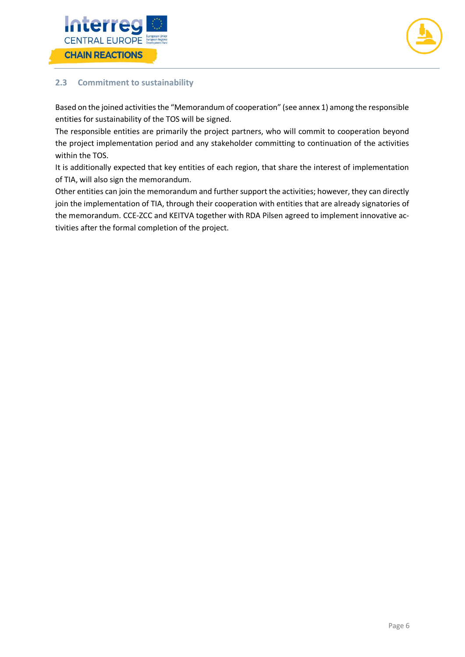



## <span id="page-6-0"></span>**2.3 Commitment to sustainability**

Based on the joined activities the "Memorandum of cooperation" (see annex 1) among the responsible entities for sustainability of the TOS will be signed.

The responsible entities are primarily the project partners, who will commit to cooperation beyond the project implementation period and any stakeholder committing to continuation of the activities within the TOS.

It is additionally expected that key entities of each region, that share the interest of implementation of TIA, will also sign the memorandum.

Other entities can join the memorandum and further support the activities; however, they can directly join the implementation of TIA, through their cooperation with entities that are already signatories of the memorandum. CCE-ZCC and KEITVA together with RDA Pilsen agreed to implement innovative activities after the formal completion of the project.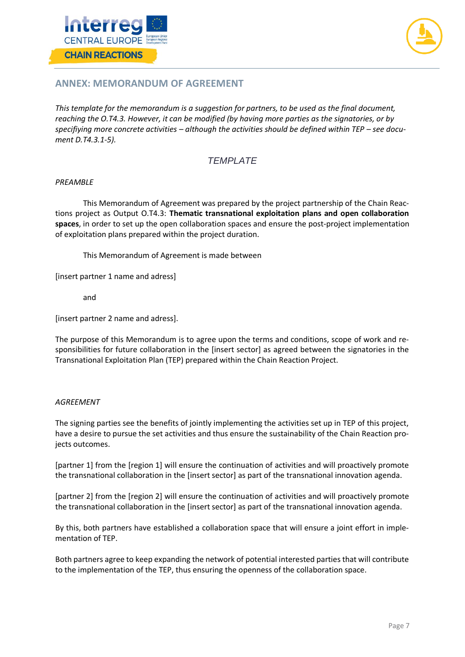



## <span id="page-7-0"></span>**ANNEX: MEMORANDUM OF AGREEMENT**

*This template for the memorandum is a suggestion for partners, to be used as the final document, reaching the O.T4.3. However, it can be modified (by having more parties as the signatories, or by specifiying more concrete activities – although the activities should be defined within TEP – see document D.T4.3.1-5).*

### *TEMPLATE*

#### *PREAMBLE*

This Memorandum of Agreement was prepared by the project partnership of the Chain Reactions project as Output O.T4.3: **Thematic transnational exploitation plans and open collaboration spaces**, in order to set up the open collaboration spaces and ensure the post-project implementation of exploitation plans prepared within the project duration.

This Memorandum of Agreement is made between

[insert partner 1 name and adress]

and

[insert partner 2 name and adress].

The purpose of this Memorandum is to agree upon the terms and conditions, scope of work and responsibilities for future collaboration in the [insert sector] as agreed between the signatories in the Transnational Exploitation Plan (TEP) prepared within the Chain Reaction Project.

#### *AGREEMENT*

The signing parties see the benefits of jointly implementing the activities set up in TEP of this project, have a desire to pursue the set activities and thus ensure the sustainability of the Chain Reaction projects outcomes.

[partner 1] from the [region 1] will ensure the continuation of activities and will proactively promote the transnational collaboration in the [insert sector] as part of the transnational innovation agenda.

[partner 2] from the [region 2] will ensure the continuation of activities and will proactively promote the transnational collaboration in the [insert sector] as part of the transnational innovation agenda.

By this, both partners have established a collaboration space that will ensure a joint effort in implementation of TEP.

Both partners agree to keep expanding the network of potential interested parties that will contribute to the implementation of the TEP, thus ensuring the openness of the collaboration space.